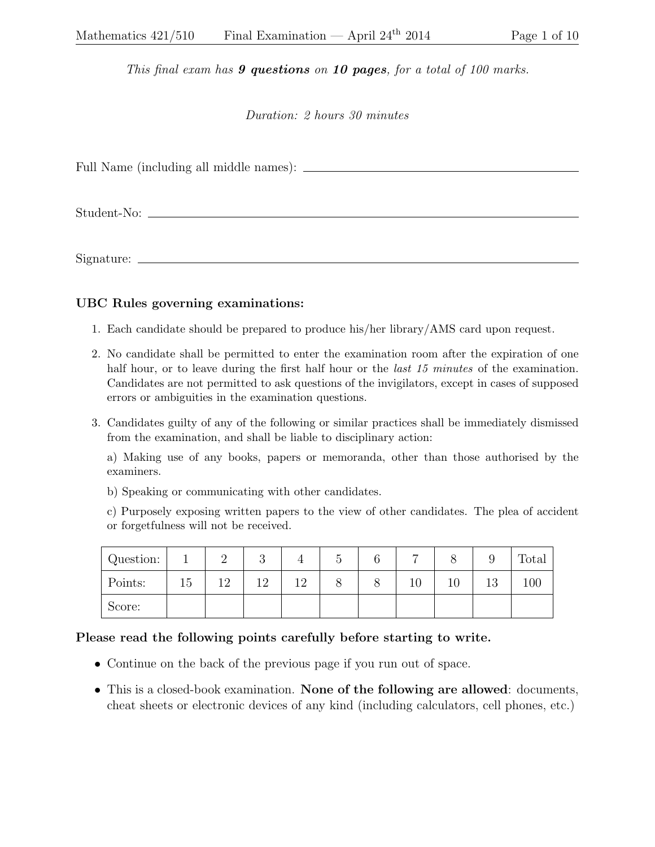This final exam has  $9$  questions on 10 pages, for a total of 100 marks.

Duration: 2 hours 30 minutes

Full Name (including all middle names):

Student-No:

Signature:

## UBC Rules governing examinations:

- 1. Each candidate should be prepared to produce his/her library/AMS card upon request.
- 2. No candidate shall be permitted to enter the examination room after the expiration of one half hour, or to leave during the first half hour or the *last 15 minutes* of the examination. Candidates are not permitted to ask questions of the invigilators, except in cases of supposed errors or ambiguities in the examination questions.
- 3. Candidates guilty of any of the following or similar practices shall be immediately dismissed from the examination, and shall be liable to disciplinary action:

a) Making use of any books, papers or memoranda, other than those authorised by the examiners.

b) Speaking or communicating with other candidates.

c) Purposely exposing written papers to the view of other candidates. The plea of accident or forgetfulness will not be received.

| Question: |    | -         | ∪ | $\tilde{}$ |    |    |           | rotal |
|-----------|----|-----------|---|------------|----|----|-----------|-------|
| Points:   | 51 | 1 ດ<br>∸∸ | ി |            | 10 | ΤÛ | 1 ດ<br>⊥∪ | 100   |
| Score:    |    |           |   |            |    |    |           |       |

## Please read the following points carefully before starting to write.

- Continue on the back of the previous page if you run out of space.
- This is a closed-book examination. None of the following are allowed: documents, cheat sheets or electronic devices of any kind (including calculators, cell phones, etc.)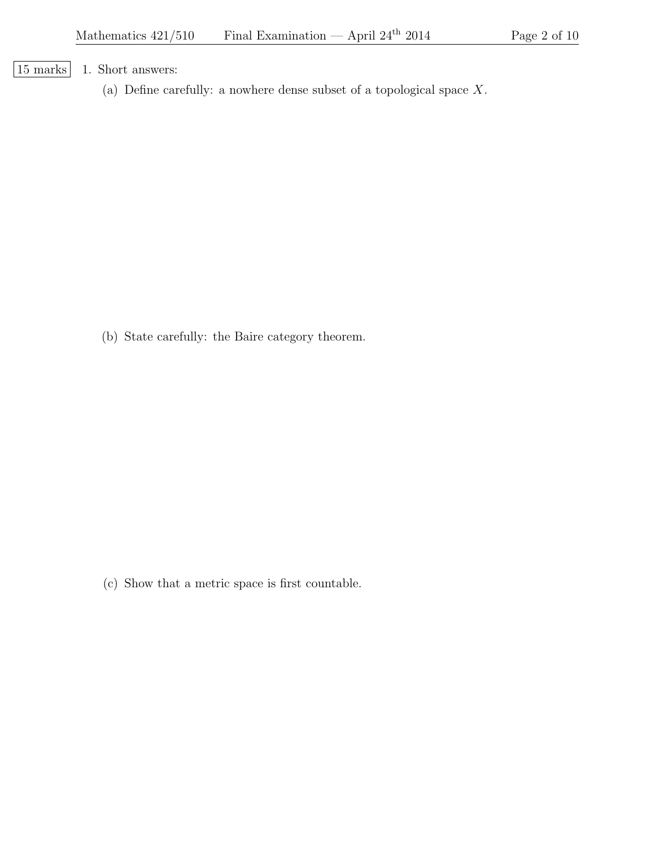[15 marks] 1. Short answers:

(a) Define carefully: a nowhere dense subset of a topological space X.

(b) State carefully: the Baire category theorem.

(c) Show that a metric space is first countable.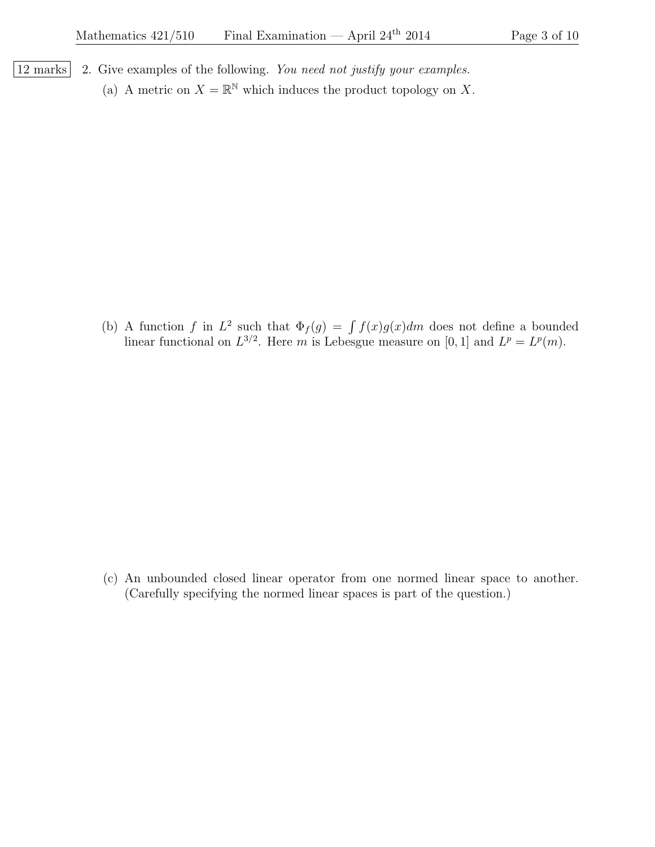- | $12 \text{ marks}$ | 2. Give examples of the following. You need not justify your examples.
	- (a) A metric on  $X = \mathbb{R}^{\mathbb{N}}$  which induces the product topology on X.

(b) A function f in  $L^2$  such that  $\Phi_f(g) = \int f(x)g(x)dm$  does not define a bounded linear functional on  $L^{3/2}$ . Here m is Lebesgue measure on [0, 1] and  $L^p = L^p(m)$ .

(c) An unbounded closed linear operator from one normed linear space to another. (Carefully specifying the normed linear spaces is part of the question.)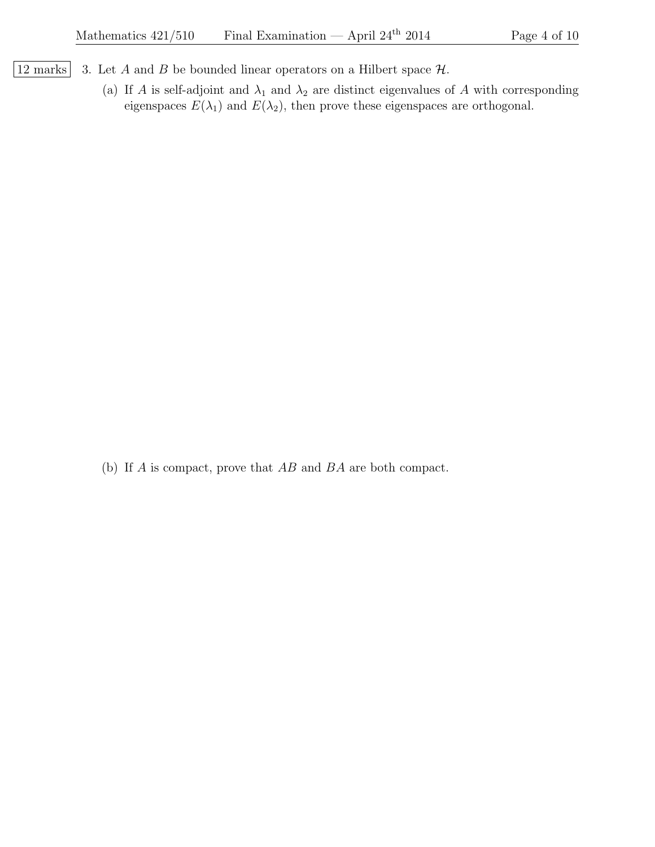- $\boxed{12 \text{ marks}}$  3. Let A and B be bounded linear operators on a Hilbert space  $\mathcal{H}$ .
	- (a) If A is self-adjoint and  $\lambda_1$  and  $\lambda_2$  are distinct eigenvalues of A with corresponding eigenspaces  $E(\lambda_1)$  and  $E(\lambda_2)$ , then prove these eigenspaces are orthogonal.

(b) If A is compact, prove that AB and BA are both compact.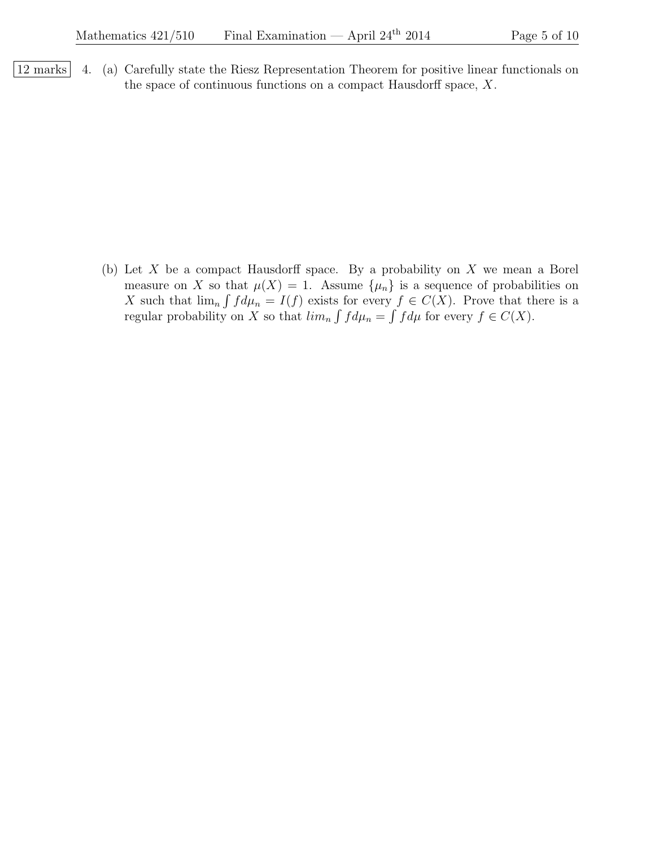12 marks 4. (a) Carefully state the Riesz Representation Theorem for positive linear functionals on the space of continuous functions on a compact Hausdorff space, X.

> (b) Let  $X$  be a compact Hausdorff space. By a probability on  $X$  we mean a Borel measure on X so that  $\mu(X) = 1$ . Assume  $\{\mu_n\}$  is a sequence of probabilities on X such that  $\lim_{n} \int f d\mu_n = I(f)$  exists for every  $f \in C(X)$ . Prove that there is a regular probability on X so that  $\lim_{n} \int f d\mu_n = \int f d\mu$  for every  $f \in C(X)$ .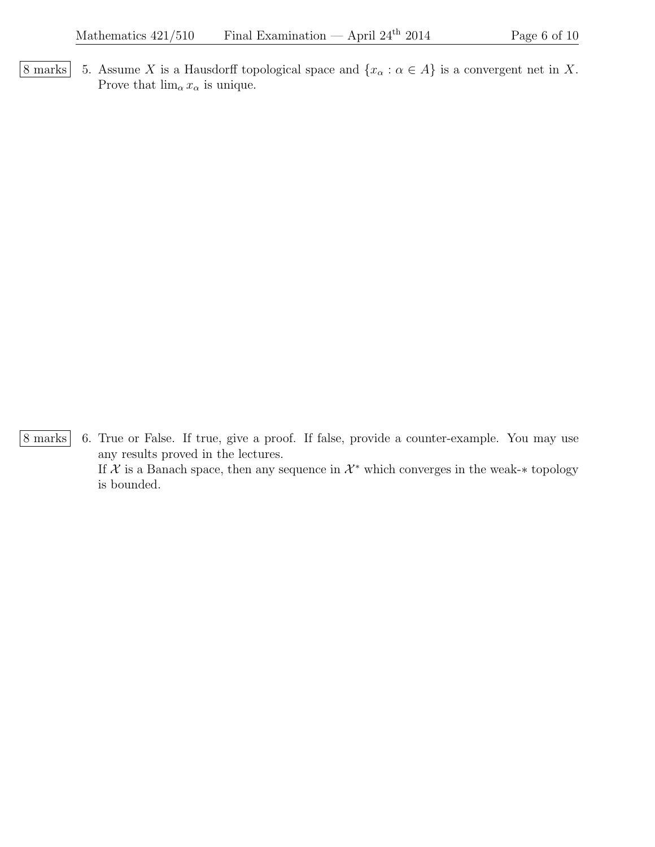8 marks 5. Assume X is a Hausdorff topological space and  $\{x_\alpha : \alpha \in A\}$  is a convergent net in X. Prove that  $\lim_{\alpha} x_{\alpha}$  is unique.

8 marks 6. True or False. If true, give a proof. If false, provide a counter-example. You may use any results proved in the lectures. If X is a Banach space, then any sequence in  $\mathcal{X}^*$  which converges in the weak-\* topology is bounded.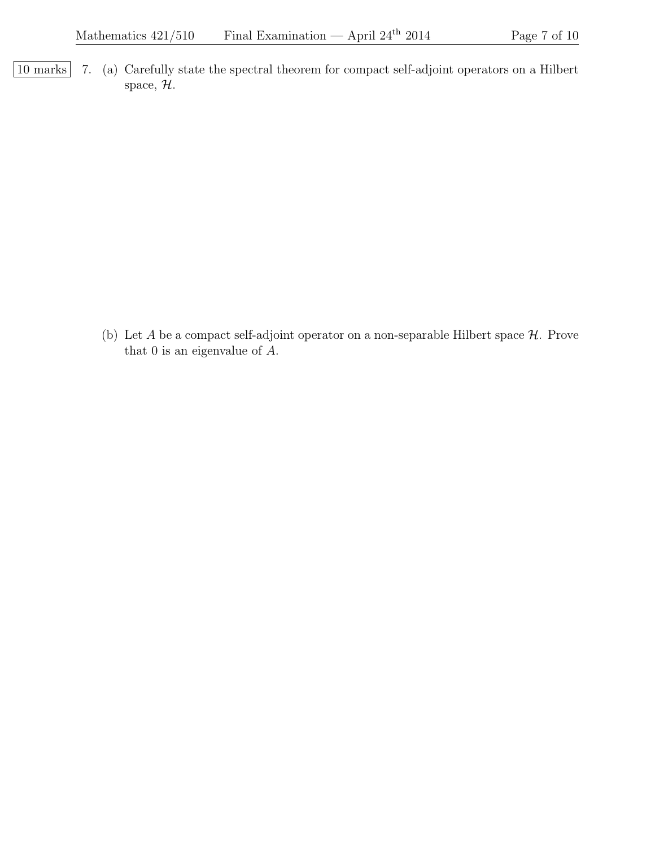10 marks 7. (a) Carefully state the spectral theorem for compact self-adjoint operators on a Hilbert space,  $H$ .

> (b) Let A be a compact self-adjoint operator on a non-separable Hilbert space  $H$ . Prove that 0 is an eigenvalue of A.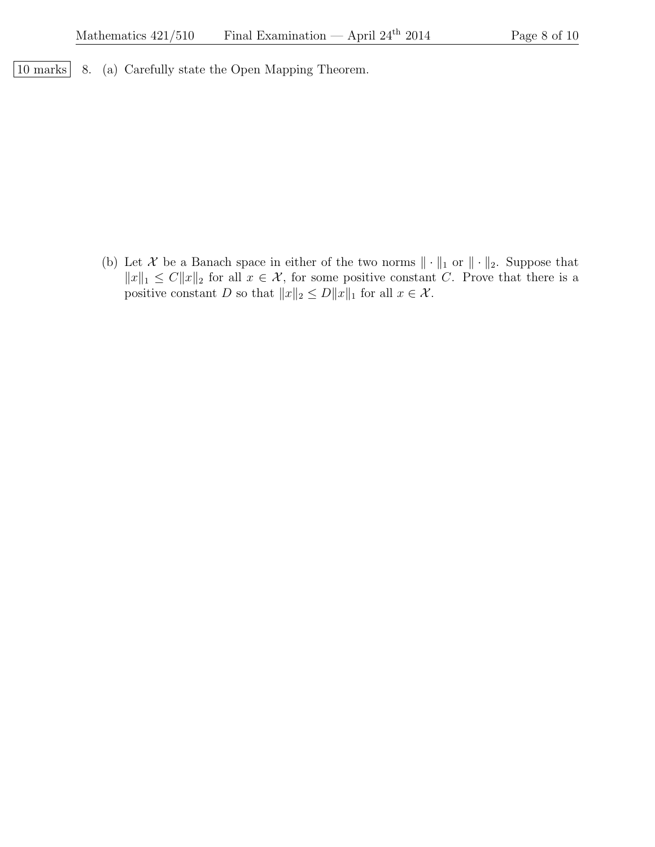| 10 marks | 8. (a) Carefully state the Open Mapping Theorem.

(b) Let X be a Banach space in either of the two norms  $\|\cdot\|_1$  or  $\|\cdot\|_2$ . Suppose that  $||x||_1 \leq C||x||_2$  for all  $x \in \mathcal{X}$ , for some positive constant C. Prove that there is a positive constant D so that  $||x||_2 \le D||x||_1$  for all  $x \in \mathcal{X}$ .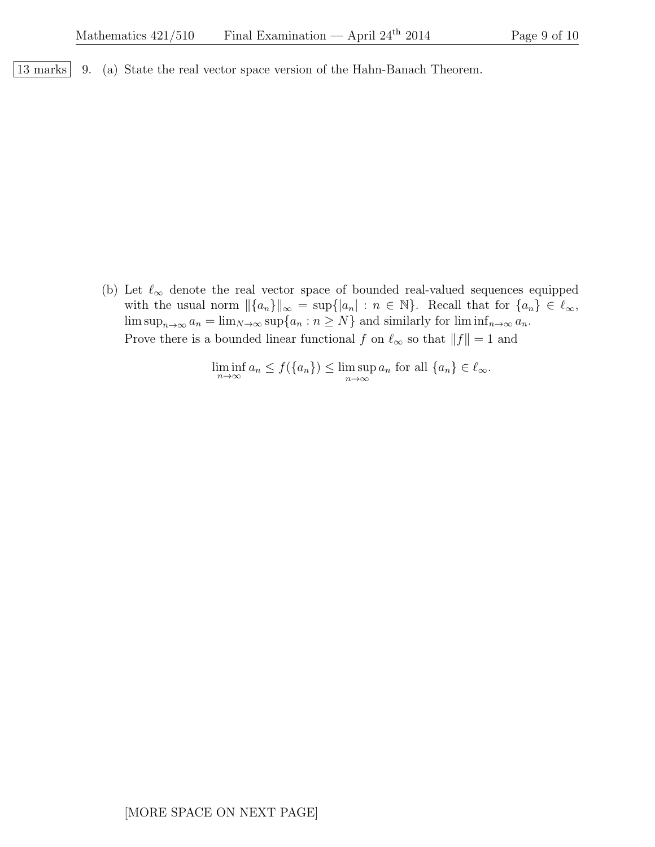|13 marks | 9. (a) State the real vector space version of the Hahn-Banach Theorem.

(b) Let  $\ell_{\infty}$  denote the real vector space of bounded real-valued sequences equipped with the usual norm  $\|\{a_n\}\|_{\infty} = \sup\{|a_n| : n \in \mathbb{N}\}\.$  Recall that for  $\{a_n\} \in \ell_{\infty}$ ,  $\limsup_{n\to\infty} a_n = \lim_{N\to\infty} \sup\{a_n : n \ge N\}$  and similarly for  $\liminf_{n\to\infty} a_n$ . Prove there is a bounded linear functional  $f$  on  $\ell_{\infty}$  so that  $||f|| = 1$  and

 $\liminf_{n \to \infty} a_n \le f(\{a_n\}) \le \limsup_{n \to \infty} a_n$  for all  $\{a_n\} \in \ell_\infty$ .